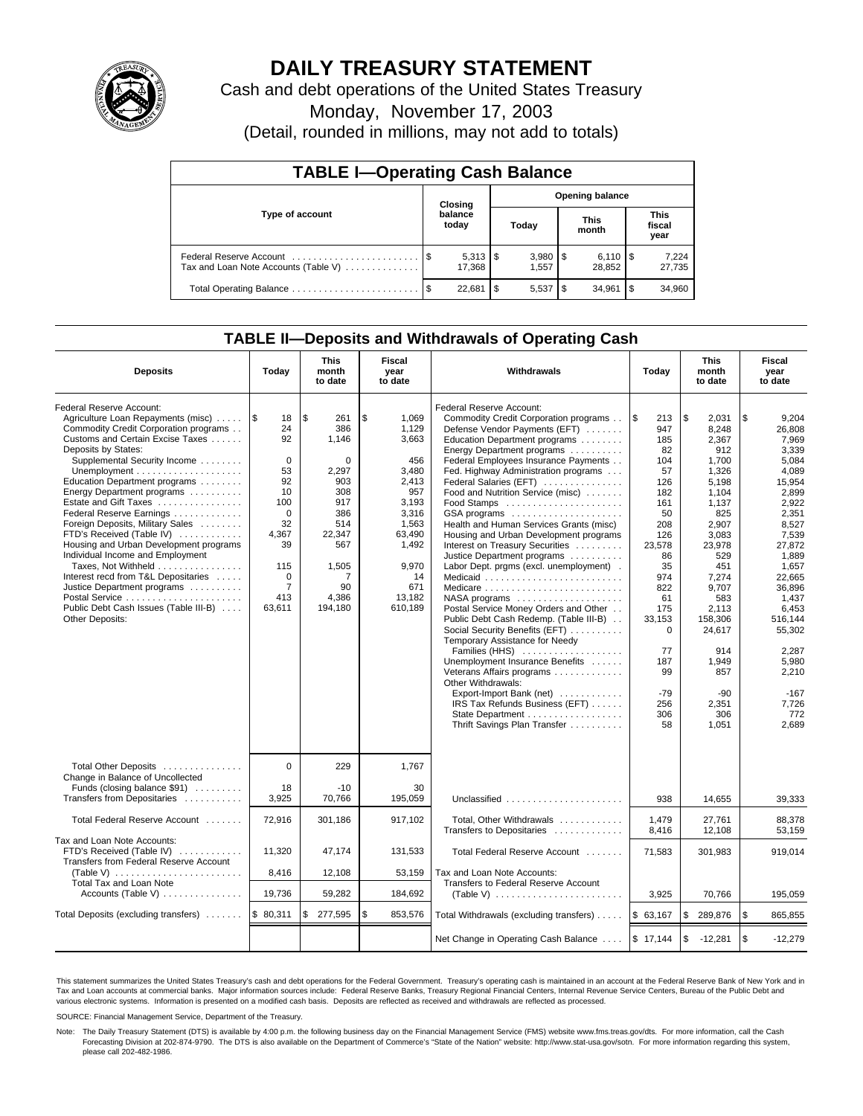

# **DAILY TREASURY STATEMENT**

Cash and debt operations of the United States Treasury

Monday, November 17, 2003

(Detail, rounded in millions, may not add to totals)

| <b>TABLE I-Operating Cash Balance</b>                           |      |                              |                        |       |      |                              |      |                               |  |
|-----------------------------------------------------------------|------|------------------------------|------------------------|-------|------|------------------------------|------|-------------------------------|--|
|                                                                 |      | Closing                      | <b>Opening balance</b> |       |      |                              |      |                               |  |
| Type of account                                                 |      | balance<br>today             |                        | Today |      | <b>This</b><br>month         |      | <b>This</b><br>fiscal<br>year |  |
| Federal Reserve Account<br>Tax and Loan Note Accounts (Table V) |      | $5,313$ $\sqrt{5}$<br>17.368 |                        | 1.557 |      | $6,110$ $\sqrt{5}$<br>28.852 |      | 7,224<br>27,735               |  |
|                                                                 | - \$ | 22.681                       | S                      | 5.537 | - \$ | 34.961                       | l \$ | 34,960                        |  |

## **TABLE II—Deposits and Withdrawals of Operating Cash**

| <b>Deposits</b>                                                                                                                                                                                                                                                                                                                                                                                                                                                                                                                                                                                                                                                                           | Today                                                                                                                                                   | <b>This</b><br>month<br>to date                                                                                                             | Fiscal<br>year<br>to date                                                                                                                              | Withdrawals<br>Today                                                                                                                                                                                                                                                                                                                                                                                                                                                                                                                                                                                                                                                                                                                                                                                                                                                                                                                                                                    |                                                                                                                                                                                                             | <b>This</b><br>month<br>to date                                                                                                                                                                                                                    | Fiscal<br>year<br>to date                                                                                                                                                                                                                                             |
|-------------------------------------------------------------------------------------------------------------------------------------------------------------------------------------------------------------------------------------------------------------------------------------------------------------------------------------------------------------------------------------------------------------------------------------------------------------------------------------------------------------------------------------------------------------------------------------------------------------------------------------------------------------------------------------------|---------------------------------------------------------------------------------------------------------------------------------------------------------|---------------------------------------------------------------------------------------------------------------------------------------------|--------------------------------------------------------------------------------------------------------------------------------------------------------|-----------------------------------------------------------------------------------------------------------------------------------------------------------------------------------------------------------------------------------------------------------------------------------------------------------------------------------------------------------------------------------------------------------------------------------------------------------------------------------------------------------------------------------------------------------------------------------------------------------------------------------------------------------------------------------------------------------------------------------------------------------------------------------------------------------------------------------------------------------------------------------------------------------------------------------------------------------------------------------------|-------------------------------------------------------------------------------------------------------------------------------------------------------------------------------------------------------------|----------------------------------------------------------------------------------------------------------------------------------------------------------------------------------------------------------------------------------------------------|-----------------------------------------------------------------------------------------------------------------------------------------------------------------------------------------------------------------------------------------------------------------------|
| Federal Reserve Account:<br>Agriculture Loan Repayments (misc)<br>Commodity Credit Corporation programs<br>Customs and Certain Excise Taxes<br>Deposits by States:<br>Supplemental Security Income<br>Unemployment $\dots\dots\dots\dots\dots\dots\dots\dots$<br>Education Department programs<br>Energy Department programs<br>Estate and Gift Taxes<br>Federal Reserve Earnings<br>Foreign Deposits, Military Sales<br>FTD's Received (Table IV)<br>Housing and Urban Development programs<br>Individual Income and Employment<br>Taxes, Not Withheld<br>Interest recd from T&L Depositaries<br>Justice Department programs<br>Public Debt Cash Issues (Table III-B)<br>Other Deposits: | 1\$<br>18<br>24<br>92<br>$\mathbf 0$<br>53<br>92<br>10<br>100<br>$\Omega$<br>32<br>4,367<br>39<br>115<br>$\mathbf 0$<br>$\overline{7}$<br>413<br>63,611 | $\sqrt{3}$<br>261<br>386<br>1.146<br>0<br>2,297<br>903<br>308<br>917<br>386<br>514<br>22,347<br>567<br>1,505<br>7<br>90<br>4,386<br>194,180 | \$<br>1,069<br>1.129<br>3.663<br>456<br>3,480<br>2,413<br>957<br>3,193<br>3,316<br>1,563<br>63,490<br>1,492<br>9,970<br>14<br>671<br>13,182<br>610,189 | Federal Reserve Account:<br>Commodity Credit Corporation programs<br>Defense Vendor Payments (EFT)<br>Education Department programs<br>Energy Department programs<br>Federal Employees Insurance Payments<br>Fed. Highway Administration programs<br>Federal Salaries (EFT)<br>Food and Nutrition Service (misc)<br>$GSA$ programs $\ldots \ldots \ldots \ldots \ldots$<br>Health and Human Services Grants (misc)<br>Housing and Urban Development programs<br>Interest on Treasury Securities<br>Justice Department programs<br>Labor Dept. prgms (excl. unemployment).<br>Medicaid<br>NASA programs<br>Postal Service Money Orders and Other<br>Public Debt Cash Redemp. (Table III-B)<br>Social Security Benefits (EFT)<br>Temporary Assistance for Needy<br>Families (HHS)<br>Unemployment Insurance Benefits<br>Veterans Affairs programs<br>Other Withdrawals:<br>Export-Import Bank (net)<br>IRS Tax Refunds Business (EFT)<br>State Department<br>Thrift Savings Plan Transfer | 1\$<br>213<br>947<br>185<br>82<br>104<br>57<br>126<br>182<br>161<br>50<br>208<br>126<br>23,578<br>86<br>35<br>974<br>822<br>61<br>175<br>33.153<br>$\Omega$<br>77<br>187<br>99<br>$-79$<br>256<br>306<br>58 | \$<br>2,031<br>8.248<br>2.367<br>912<br>1,700<br>1,326<br>5,198<br>1,104<br>1.137<br>825<br>2,907<br>3,083<br>23,978<br>529<br>451<br>7.274<br>9.707<br>583<br>2,113<br>158.306<br>24,617<br>914<br>1,949<br>857<br>$-90$<br>2,351<br>306<br>1,051 | \$<br>9,204<br>26.808<br>7.969<br>3,339<br>5,084<br>4.089<br>15,954<br>2,899<br>2.922<br>2,351<br>8,527<br>7,539<br>27,872<br>1.889<br>1,657<br>22.665<br>36.896<br>1,437<br>6,453<br>516.144<br>55,302<br>2.287<br>5,980<br>2,210<br>$-167$<br>7,726<br>772<br>2,689 |
| Total Other Deposits<br>Change in Balance of Uncollected<br>Funds (closing balance \$91)                                                                                                                                                                                                                                                                                                                                                                                                                                                                                                                                                                                                  | $\Omega$<br>18                                                                                                                                          | 229<br>$-10$                                                                                                                                | 1.767<br>30                                                                                                                                            |                                                                                                                                                                                                                                                                                                                                                                                                                                                                                                                                                                                                                                                                                                                                                                                                                                                                                                                                                                                         |                                                                                                                                                                                                             |                                                                                                                                                                                                                                                    |                                                                                                                                                                                                                                                                       |
| Transfers from Depositaries                                                                                                                                                                                                                                                                                                                                                                                                                                                                                                                                                                                                                                                               | 3,925                                                                                                                                                   | 70,766                                                                                                                                      | 195,059                                                                                                                                                | Unclassified                                                                                                                                                                                                                                                                                                                                                                                                                                                                                                                                                                                                                                                                                                                                                                                                                                                                                                                                                                            | 938                                                                                                                                                                                                         | 14,655                                                                                                                                                                                                                                             | 39,333                                                                                                                                                                                                                                                                |
| Total Federal Reserve Account                                                                                                                                                                                                                                                                                                                                                                                                                                                                                                                                                                                                                                                             | 72,916                                                                                                                                                  | 301,186                                                                                                                                     | 917,102                                                                                                                                                | Total, Other Withdrawals<br>Transfers to Depositaries                                                                                                                                                                                                                                                                                                                                                                                                                                                                                                                                                                                                                                                                                                                                                                                                                                                                                                                                   | 1,479<br>8,416                                                                                                                                                                                              | 27,761<br>12,108                                                                                                                                                                                                                                   | 88,378<br>53.159                                                                                                                                                                                                                                                      |
| Tax and Loan Note Accounts:<br>FTD's Received (Table IV)<br>Transfers from Federal Reserve Account                                                                                                                                                                                                                                                                                                                                                                                                                                                                                                                                                                                        | 11,320                                                                                                                                                  | 47,174                                                                                                                                      | 131,533                                                                                                                                                | Total Federal Reserve Account                                                                                                                                                                                                                                                                                                                                                                                                                                                                                                                                                                                                                                                                                                                                                                                                                                                                                                                                                           | 71,583                                                                                                                                                                                                      | 301,983                                                                                                                                                                                                                                            | 919,014                                                                                                                                                                                                                                                               |
| (Table V) $\ldots \ldots \ldots \ldots \ldots \ldots \ldots$<br>Total Tax and Loan Note                                                                                                                                                                                                                                                                                                                                                                                                                                                                                                                                                                                                   | 8,416                                                                                                                                                   | 12,108                                                                                                                                      | 53,159                                                                                                                                                 | Tax and Loan Note Accounts:<br>Transfers to Federal Reserve Account                                                                                                                                                                                                                                                                                                                                                                                                                                                                                                                                                                                                                                                                                                                                                                                                                                                                                                                     |                                                                                                                                                                                                             |                                                                                                                                                                                                                                                    |                                                                                                                                                                                                                                                                       |
| Accounts (Table V)                                                                                                                                                                                                                                                                                                                                                                                                                                                                                                                                                                                                                                                                        | 19,736                                                                                                                                                  | 59,282                                                                                                                                      | 184,692                                                                                                                                                |                                                                                                                                                                                                                                                                                                                                                                                                                                                                                                                                                                                                                                                                                                                                                                                                                                                                                                                                                                                         | 3,925                                                                                                                                                                                                       | 70,766                                                                                                                                                                                                                                             | 195,059                                                                                                                                                                                                                                                               |
| Total Deposits (excluding transfers)                                                                                                                                                                                                                                                                                                                                                                                                                                                                                                                                                                                                                                                      | \$80,311                                                                                                                                                | \$<br>277,595                                                                                                                               | \$<br>853,576                                                                                                                                          | Total Withdrawals (excluding transfers)                                                                                                                                                                                                                                                                                                                                                                                                                                                                                                                                                                                                                                                                                                                                                                                                                                                                                                                                                 | \$63,167                                                                                                                                                                                                    | <b>S</b><br>289,876                                                                                                                                                                                                                                | \$<br>865,855                                                                                                                                                                                                                                                         |
|                                                                                                                                                                                                                                                                                                                                                                                                                                                                                                                                                                                                                                                                                           |                                                                                                                                                         |                                                                                                                                             |                                                                                                                                                        | Net Change in Operating Cash Balance  \$ 17,144                                                                                                                                                                                                                                                                                                                                                                                                                                                                                                                                                                                                                                                                                                                                                                                                                                                                                                                                         |                                                                                                                                                                                                             | <b>S</b><br>-12,281                                                                                                                                                                                                                                | \$<br>$-12,279$                                                                                                                                                                                                                                                       |

This statement summarizes the United States Treasury's cash and debt operations for the Federal Government. Treasury's operating cash is maintained in an account at the Federal Reserve Bank of New York and in Tax and Loan accounts at commercial banks. Major information sources include: Federal Reserve Banks, Treasury Regional Financial Centers, Internal Revenue Service Centers, Bureau of the Public Debt and<br>various electronic s

SOURCE: Financial Management Service, Department of the Treasury.

Note: The Daily Treasury Statement (DTS) is available by 4:00 p.m. the following business day on the Financial Management Service (FMS) website www.fms.treas.gov/dts. For more information, call the Cash Forecasting Division at 202-874-9790. The DTS is also available on the Department of Commerce's "State of the Nation" website: http://www.stat-usa.gov/sotn. For more information regarding this system, please call 202-482-1986.